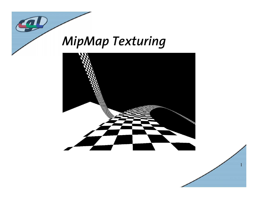

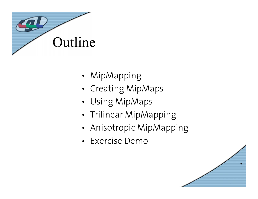

- •MipMapping
- •Creating MipMaps
- •Using MipMaps
- •Trilinear MipMapping
- •Anisotropic MipMapping
- Exercise Demo

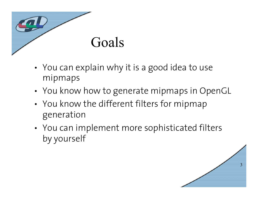

- • You can explain why it is a good idea to use mipmaps
- •You know how to generate mipmaps in OpenGL
- • You know the different filters for mipmap generation
- • You can implement more sophisticated filters by yourself

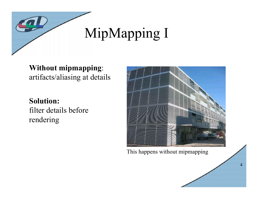

#### **Without mipmapping**: artifacts/aliasing at details

#### **Solution:**  filter details before

rendering



This happens without mipmapping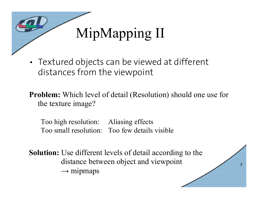

• Textured objects can be viewed at different distances from the viewpoint

**Problem:** Which level of detail (Resolution) should one use for the texture image?

Too high resolution: Aliasing effects Too small resolution: Too few details visible

**Solution:** Use different levels of detail according to the distance between object and viewpoint  $\rightarrow$  mipmaps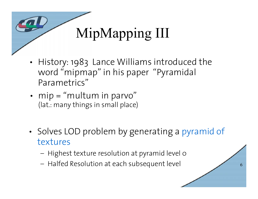

- • History: 1983 Lance Williams introduced the word "mipmap" in his paper "Pyramidal Parametrics"
- • mip = "multum in parvo" (lat.: many things in small place)
- • Solves LOD problem by generating a pyramid of textures

- Highest texture resolution at pyramid level 0
- Halfed Resolution at each subsequent level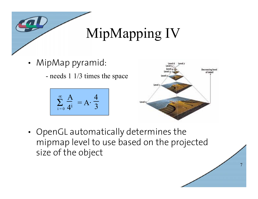

- • MipMap pyramid:
	- needs 1 1/3 times the space

$$
\sum_{i=0}^{\infty} \frac{A}{4^i} = A \cdot \frac{4}{3}
$$



7

• OpenGL automatically determines the mipmap level to use based on the projected size of the object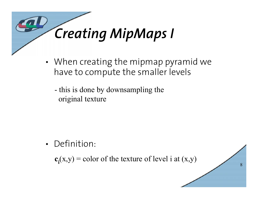

- • When creating the mipmap pyramid we have to compute the smaller levels
	- this is done by downsampling the original texture

• Definition:

 $c_i(x,y) =$  color of the texture of level i at  $(x,y)$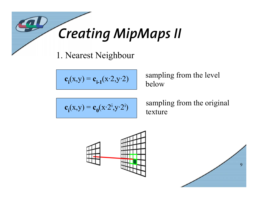

1. Nearest Neighbour

$$
\mathbf{c}_i(x,y) = \mathbf{c}_{i-1}(x \cdot 2, y \cdot 2)
$$

sampling from the level below

$$
\mathbf{c}_i(x,y) = \mathbf{c}_0(x \cdot 2^i, y \cdot 2^i)
$$

sampling from the original texture



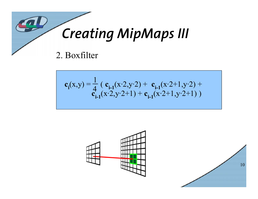

$$
\mathbf{c}_{i}(x,y) = \frac{1}{4} \left( \mathbf{c}_{i-1}(x \cdot 2, y \cdot 2) + \mathbf{c}_{i-1}(x \cdot 2 + 1, y \cdot 2) + \mathbf{c}_{i-1}(x \cdot 2 + 1, y \cdot 2 + 1) \right)
$$



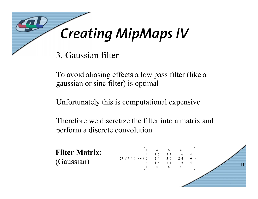

3. Gaussian filter

To avoid aliasing effects a low pass filter (like a gaussian or sinc filter) is optimal

Unfortunately this is computational expensive

Therefore we discretize the filter into a matrix and perform a discrete convolution

**Filter Matrix:** (Gaussian)

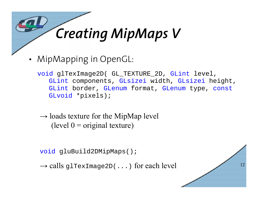## *Creating MipMaps V*

•MipMapping in OpenGL:

void glTexImage2D( GL\_TEXTURE\_2D, GLint level, GLint components, GLsizei width, GLsizei height, GLint border, GLenum format, GLenum type, const GLvoid \*pixels);

 $\rightarrow$  loads texture for the MipMap level (level  $0 =$  original texture)

void gluBuild2DMipMaps();

 $\rightarrow$  calls <code>glTexImage2D(...)</code> for each level

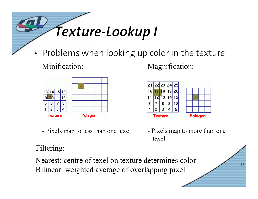

•Problems when looking up color in the texture

Minification:



-Pixels map to less than one texel Magnification:



 Pixels map to more than one texel

13

Filtering:

Nearest: centre of texel on texture determines colorBilinear: weighted average of overlapping pixel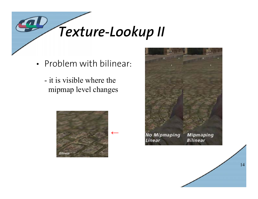*Texture-Lookup II*

- Problem with bilinear:
	- it is visible where the mipmap level changes



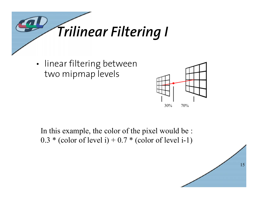

• linear filtering between two mipmap levels



In this example, the color of the pixel would be :  $0.3 * (color of level i) + 0.7 * (color of level i-1)$ 

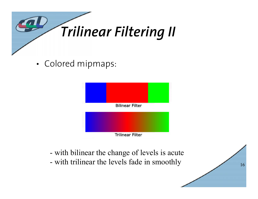

•Colored mipmaps:



- with bilinear the change of levels is acute
- with trilinear the levels fade in smoothly

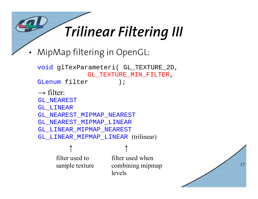### *Trilinear Filtering III*

•MipMap filtering in OpenGL:

```
void glTexParameteri( GL_TEXTURE_2D, 
             GL TEXTURE MIN FILTER,
GLenum filter );
\rightarrow filter:
GL_NEAREST
GL_LINEAR
GL_NEAREST_MIPMAP_NEAREST
GL_NEAREST_MIPMAP_LINEAR
GL_LINEAR_MIPMAP_NEAREST
GL_LINEAR_MIPMAP_LINEAR (trilinear)
```
filter used to sample texture ↑ ↑

filter used when combining mipmap levels

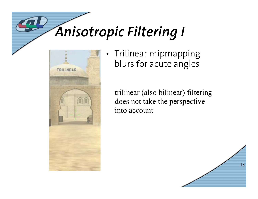## *Anisotropic Filtering I*



• Trilinear mipmapping blurs for acute angles

trilinear (also bilinear) filtering does not take the perspective into account

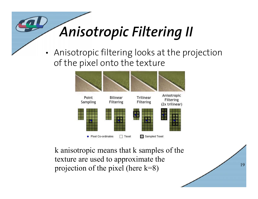# *Anisotropic Filtering II*

• Anisotropic filtering looks at the projection of the pixel onto the texture



k anisotropic means that k samples of the texture are used to approximate the projection of the pixel (here k=8)